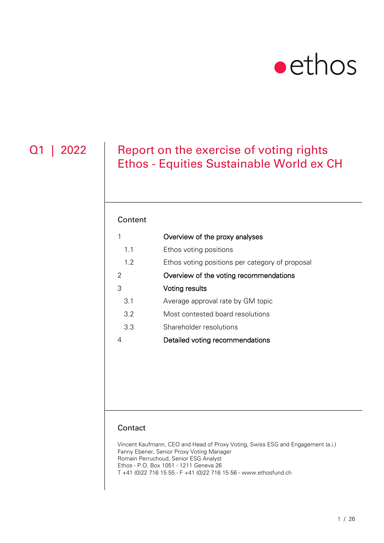# $\bullet$  ethos

### Q1 | 2022 | Report on the exercise of voting rights Ethos - Equities Sustainable World ex CH

#### Content

| 1   | Overview of the proxy analyses                  |
|-----|-------------------------------------------------|
| 1.1 | Ethos voting positions                          |
| 1.2 | Ethos voting positions per category of proposal |
| 2   | Overview of the voting recommendations          |
| 3   | Voting results                                  |
| 3.1 | Average approval rate by GM topic               |
| 3.2 | Most contested board resolutions                |
| 3.3 | Shareholder resolutions                         |
| 4   | Detailed voting recommendations                 |
|     |                                                 |

#### **Contact**

Vincent Kaufmann, CEO and Head of Proxy Voting, Swiss ESG and Engagement (a.i.) Fanny Ebener, Senior Proxy Voting Manager Romain Perruchoud, Senior ESG Analyst Ethos - P.O. Box 1051 - 1211 Geneva 26 T +41 (0)22 716 15 55 - F +41 (0)22 716 15 56 - www.ethosfund.ch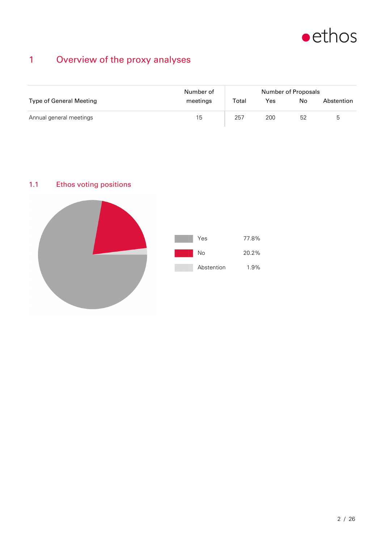

### 1 Overview of the proxy analyses

|                                | Number of | Number of Proposals |     |    |            |  |
|--------------------------------|-----------|---------------------|-----|----|------------|--|
| <b>Type of General Meeting</b> | meetings  | Total               | Yes | No | Abstention |  |
| Annual general meetings        | 15        | 257                 | 200 | 52 | ხ          |  |

### 1.1 Ethos voting positions

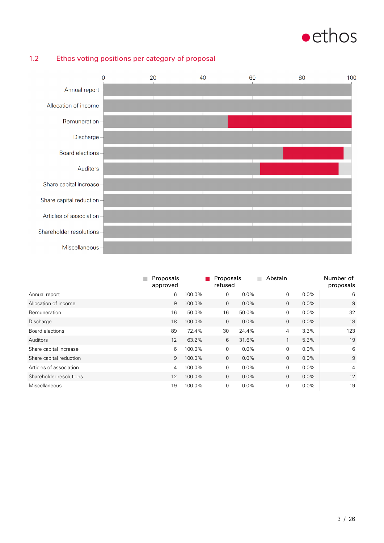## $\bullet$ ethos



#### 1.2 Ethos voting positions per category of proposal

|                         | Proposals<br>approved |        | Proposals<br>refused |         | Abstain        |         | Number of<br>proposals |
|-------------------------|-----------------------|--------|----------------------|---------|----------------|---------|------------------------|
| Annual report           | 6                     | 100.0% | 0                    | 0.0%    | 0              | $0.0\%$ | 6                      |
| Allocation of income    | 9                     | 100.0% | $\mathbf{0}$         | 0.0%    | $\mathbf{0}$   | $0.0\%$ | 9                      |
| Remuneration            | 16                    | 50.0%  | 16                   | 50.0%   | 0              | $0.0\%$ | 32                     |
| Discharge               | 18                    | 100.0% | $\mathbf{0}$         | $0.0\%$ | $\mathbf{0}$   | $0.0\%$ | 18                     |
| Board elections         | 89                    | 72.4%  | 30                   | 24.4%   | $\overline{4}$ | 3.3%    | 123                    |
| Auditors                | 12                    | 63.2%  | 6                    | 31.6%   | 1              | 5.3%    | 19                     |
| Share capital increase  | 6                     | 100.0% | $\mathbf 0$          | 0.0%    | 0              | $0.0\%$ | 6                      |
| Share capital reduction | 9                     | 100.0% | $\mathbf{0}$         | $0.0\%$ | $\mathbf{0}$   | $0.0\%$ | 9                      |
| Articles of association | 4                     | 100.0% | 0                    | 0.0%    | 0              | $0.0\%$ | $\overline{4}$         |
| Shareholder resolutions | 12                    | 100.0% | $\mathbf{0}$         | 0.0%    | $\mathbf{0}$   | $0.0\%$ | 12                     |
| <b>Miscellaneous</b>    | 19                    | 100.0% | 0                    | 0.0%    | 0              | 0.0%    | 19                     |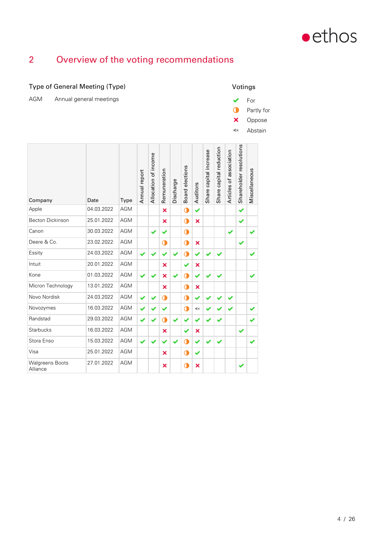

### 2 Overview of the voting recommendations

| Type of General Meeting (Type)        |            |      |               |                      |              |           |                 |                        |                        |                         |                         |                         | Votings       |            |
|---------------------------------------|------------|------|---------------|----------------------|--------------|-----------|-----------------|------------------------|------------------------|-------------------------|-------------------------|-------------------------|---------------|------------|
| <b>AGM</b><br>Annual general meetings |            |      |               |                      |              |           |                 |                        |                        |                         |                         |                         | For           |            |
|                                       |            |      |               |                      |              |           |                 |                        |                        |                         |                         | Œ                       |               | Partly for |
|                                       |            |      |               |                      |              |           |                 |                        |                        |                         |                         | ×                       | Oppose        |            |
|                                       |            |      |               |                      |              |           |                 |                        |                        |                         |                         | $\mathbf{R}$            | Abstain       |            |
|                                       |            |      |               |                      |              |           |                 |                        |                        |                         |                         |                         |               |            |
| Company                               | Date       | Type | Annual report | Allocation of income | Remuneration | Discharge | Board elections | Auditors               | Share capital increase | Share capital reduction | Articles of association | Shareholder resolutions | Miscellaneous |            |
| Apple                                 | 04.03.2022 | AGM  |               |                      | ×            |           | $\bullet$       | ✔                      |                        |                         |                         | ✔                       |               |            |
| <b>Becton Dickinson</b>               | 25.01.2022 | AGM  |               |                      | ×            |           | $\bullet$       | ×                      |                        |                         |                         | ✔                       |               |            |
| Canon                                 | 30.03.2022 | AGM  |               | ✔                    | ✔            |           | $\bullet$       |                        |                        |                         | ✔                       |                         | ✔             |            |
| Deere & Co.                           | 23.02.2022 | AGM  |               |                      | $\mathbf 0$  |           | $\bullet$       | ×                      |                        |                         |                         | ✔                       |               |            |
| Essity                                | 24.03.2022 | AGM  |               |                      |              |           | $\bullet$       | ✔                      |                        |                         |                         |                         | ✔             |            |
| Intuit                                | 20.01.2022 | AGM  |               |                      | ×            |           | ✔               | ×                      |                        |                         |                         |                         |               |            |
| Kone                                  | 01.03.2022 | AGM  | ✔             |                      | ×            | ✔         | $\bullet$       | ✔                      |                        |                         |                         |                         | ✔             |            |
| Micron Technology                     | 13.01.2022 | AGM  |               |                      | ×            |           | $\bullet$       | ×                      |                        |                         |                         |                         |               |            |
| Novo Nordisk                          | 24.03.2022 | AGM  | ✔             |                      | $\mathbf 0$  |           | $\bullet$       | ✔                      |                        |                         | ✔                       |                         |               |            |
| Novozymes                             | 16.03.2022 | AGM  | ✔             |                      | ✔            |           | $\bullet$       | $\triangleleft \times$ |                        |                         | ✔                       |                         | ✔             |            |
| Randstad                              | 29.03.2022 | AGM  | ✔             | ✔                    | $\mathbf 0$  |           | ✔               | ✔                      |                        |                         |                         |                         | ✔             |            |
| Starbucks                             | 16.03.2022 | AGM  |               |                      | ×            |           | ✔               | ×                      |                        |                         |                         | ✔                       |               |            |
| Stora Enso                            | 15.03.2022 | AGM  | ✔             | ✔                    | ✔            | ✔         | $\bullet$       | ✔                      | ✔                      |                         |                         |                         | ✔             |            |
| Visa                                  | 25.01.2022 | AGM  |               |                      | ×            |           | $\bullet$       | ✔                      |                        |                         |                         |                         |               |            |
| <b>Walgreens Boots</b><br>Alliance    | 27.01.2022 | AGM  |               |                      | ×            |           | $\mathbf 0$     | ×                      |                        |                         |                         | ✔                       |               |            |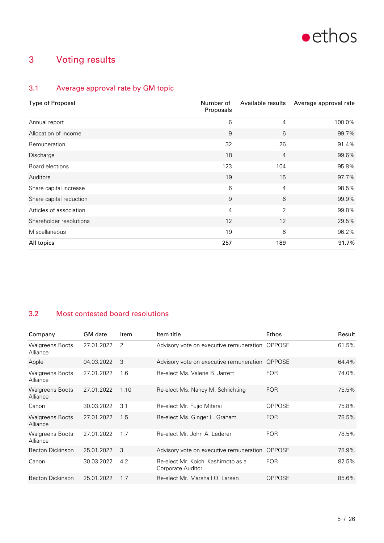

### 3 Voting results

### 3.1 Average approval rate by GM topic

| <b>Type of Proposal</b> | Number of<br>Proposals | Available results | Average approval rate |
|-------------------------|------------------------|-------------------|-----------------------|
| Annual report           | 6                      | 4                 | 100.0%                |
| Allocation of income    | 9                      | 6                 | 99.7%                 |
| <b>Remuneration</b>     | 32                     | 26                | 91.4%                 |
| Discharge               | 18                     | $\overline{4}$    | 99.6%                 |
| Board elections         | 123                    | 104               | 95.8%                 |
| Auditors                | 19                     | 15                | 97.7%                 |
| Share capital increase  | 6                      | 4                 | 98.5%                 |
| Share capital reduction | 9                      | 6                 | 99.9%                 |
| Articles of association | $\overline{4}$         | $\overline{2}$    | 99.8%                 |
| Shareholder resolutions | 12                     | 12                | 29.5%                 |
| <b>Miscellaneous</b>    | 19                     | 6                 | 96.2%                 |
| All topics              | 257                    | 189               | 91.7%                 |

#### 3.2 Most contested board resolutions

| Company                            | <b>GM</b> date | Item | Item title                                              | Ethos         | Result |
|------------------------------------|----------------|------|---------------------------------------------------------|---------------|--------|
| <b>Walgreens Boots</b><br>Alliance | 27.01.2022     | 2    | Advisory vote on executive remuneration OPPOSE          |               | 61.5%  |
| Apple                              | 04.03.2022     | 3    | Advisory vote on executive remuneration OPPOSE          |               | 64.4%  |
| <b>Walgreens Boots</b><br>Alliance | 27.01.2022     | 1.6  | Re-elect Ms. Valerie B. Jarrett                         | <b>FOR</b>    | 74.0%  |
| <b>Walgreens Boots</b><br>Alliance | 27.01.2022     | 1.10 | Re-elect Ms. Nancy M. Schlichting                       | <b>FOR</b>    | 75.5%  |
| Canon                              | 30.03.2022     | 3.1  | Re-elect Mr. Fujio Mitarai                              | <b>OPPOSE</b> | 75.8%  |
| <b>Walgreens Boots</b><br>Alliance | 27.01.2022     | 1.5  | Re-elect Ms. Ginger L. Graham                           | <b>FOR</b>    | 78.5%  |
| <b>Walgreens Boots</b><br>Alliance | 27.01.2022     | 1.7  | Re-elect Mr. John A. Lederer                            | <b>FOR</b>    | 78.5%  |
| Becton Dickinson                   | 25.01.2022     | 3    | Advisory vote on executive remuneration                 | OPPOSE        | 78.9%  |
| Canon                              | 30.03.2022     | 4.2  | Re-elect Mr. Koichi Kashimoto as a<br>Corporate Auditor | <b>FOR</b>    | 82.5%  |
| <b>Becton Dickinson</b>            | 25.01.2022     | 1.7  | Re-elect Mr. Marshall O. Larsen                         | OPPOSE        | 85.6%  |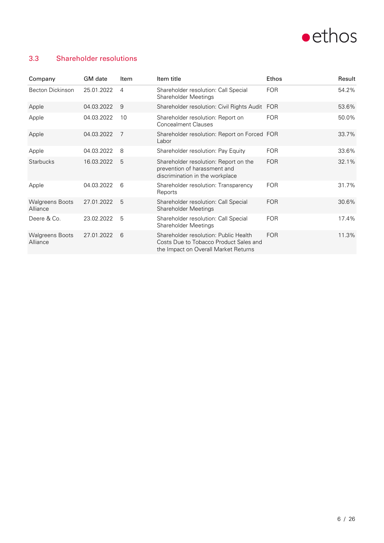

#### 3.3 Shareholder resolutions

| Company                            | <b>GM</b> date | Item | Item title                                                                                                              | <b>Ethos</b> | Result |
|------------------------------------|----------------|------|-------------------------------------------------------------------------------------------------------------------------|--------------|--------|
| <b>Becton Dickinson</b>            | 25.01.2022     | 4    | Shareholder resolution: Call Special<br><b>Shareholder Meetings</b>                                                     | <b>FOR</b>   | 54.2%  |
| Apple                              | 04.03.2022     | 9    | Shareholder resolution: Civil Rights Audit FOR                                                                          |              | 53.6%  |
| Apple                              | 04.03.2022     | 10   | Shareholder resolution: Report on<br><b>Concealment Clauses</b>                                                         | <b>FOR</b>   | 50.0%  |
| Apple                              | 04.03.2022     | 7    | Shareholder resolution: Report on Forced FOR<br>Labor                                                                   |              | 33.7%  |
| Apple                              | 04.03.2022     | 8    | Shareholder resolution: Pay Equity                                                                                      | <b>FOR</b>   | 33.6%  |
| <b>Starbucks</b>                   | 16.03.2022     | 5    | Shareholder resolution: Report on the<br>prevention of harassment and<br>discrimination in the workplace                | <b>FOR</b>   | 32.1%  |
| Apple                              | 04.03.2022     | 6    | Shareholder resolution: Transparency<br>Reports                                                                         | <b>FOR</b>   | 31.7%  |
| <b>Walgreens Boots</b><br>Alliance | 27.01.2022     | 5    | Shareholder resolution: Call Special<br><b>Shareholder Meetings</b>                                                     | <b>FOR</b>   | 30.6%  |
| Deere & Co.                        | 23.02.2022     | 5    | Shareholder resolution: Call Special<br><b>Shareholder Meetings</b>                                                     | <b>FOR</b>   | 17.4%  |
| <b>Walgreens Boots</b><br>Alliance | 27.01.2022     | 6    | Shareholder resolution: Public Health<br>Costs Due to Tobacco Product Sales and<br>the Impact on Overall Market Returns | <b>FOR</b>   | 11.3%  |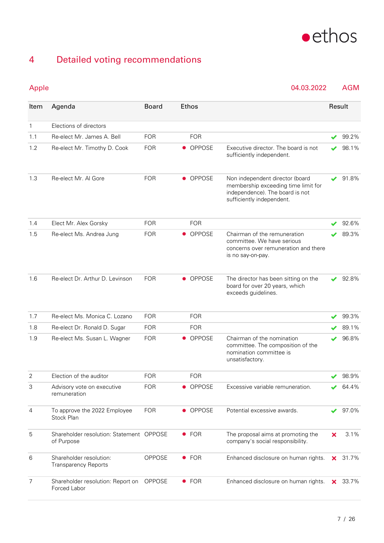

### 4 Detailed voting recommendations

Apple 04.03.2022 AGM

| Item           | Agenda                                                 | <b>Board</b>  |           | Ethos         |                                                                                                                                        | Result |       |
|----------------|--------------------------------------------------------|---------------|-----------|---------------|----------------------------------------------------------------------------------------------------------------------------------------|--------|-------|
| $\mathbf{1}$   | Elections of directors                                 |               |           |               |                                                                                                                                        |        |       |
| 1.1            | Re-elect Mr. James A. Bell                             | <b>FOR</b>    |           | <b>FOR</b>    |                                                                                                                                        |        | 99.2% |
| 1.2            | Re-elect Mr. Timothy D. Cook                           | <b>FOR</b>    |           | • OPPOSE      | Executive director. The board is not<br>sufficiently independent.                                                                      |        | 98.1% |
| 1.3            | Re-elect Mr. Al Gore                                   | <b>FOR</b>    |           | • OPPOSE      | Non independent director (board<br>membership exceeding time limit for<br>independence). The board is not<br>sufficiently independent. | ✔      | 91.8% |
| 1.4            | Elect Mr. Alex Gorsky                                  | <b>FOR</b>    |           | <b>FOR</b>    |                                                                                                                                        |        | 92.6% |
| 1.5            | Re-elect Ms. Andrea Jung                               | <b>FOR</b>    |           | • OPPOSE      | Chairman of the remuneration<br>committee. We have serious<br>concerns over remuneration and there<br>is no say-on-pay.                |        | 89.3% |
| 1.6            | Re-elect Dr. Arthur D. Levinson                        | <b>FOR</b>    |           | • OPPOSE      | The director has been sitting on the<br>board for over 20 years, which<br>exceeds guidelines.                                          |        | 92.8% |
| 1.7            | Re-elect Ms. Monica C. Lozano                          | <b>FOR</b>    |           | <b>FOR</b>    |                                                                                                                                        |        | 99.3% |
| 1.8            | Re-elect Dr. Ronald D. Sugar                           | <b>FOR</b>    |           | <b>FOR</b>    |                                                                                                                                        |        | 89.1% |
| 1.9            | Re-elect Ms. Susan L. Wagner                           | <b>FOR</b>    |           | <b>OPPOSE</b> | Chairman of the nomination<br>committee. The composition of the<br>nomination committee is<br>unsatisfactory.                          |        | 96.8% |
| $\overline{2}$ | Election of the auditor                                | <b>FOR</b>    |           | <b>FOR</b>    |                                                                                                                                        |        | 98.9% |
| 3              | Advisory vote on executive<br>remuneration             | FOR           | $\bullet$ | OPPOSE        | Excessive variable remuneration.                                                                                                       |        | 64.4% |
| $\overline{4}$ | To approve the 2022 Employee<br>Stock Plan             | <b>FOR</b>    |           | • OPPOSE      | Potential excessive awards.                                                                                                            | ✔      | 97.0% |
| 5              | Shareholder resolution: Statement OPPOSE<br>of Purpose |               |           | $\bullet$ FOR | The proposal aims at promoting the<br>company's social responsibility.                                                                 | ×      | 3.1%  |
| 6              | Shareholder resolution:<br><b>Transparency Reports</b> | OPPOSE        |           | $\bullet$ FOR | Enhanced disclosure on human rights.                                                                                                   | ×.     | 31.7% |
| $\overline{7}$ | Shareholder resolution: Report on<br>Forced Labor      | <b>OPPOSE</b> |           | $\bullet$ FOR | Enhanced disclosure on human rights.                                                                                                   | ×.     | 33.7% |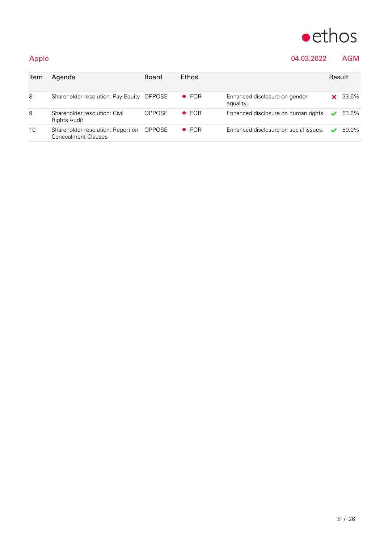

### Apple 04.03.2022 AGM

| Item | Agenda                                                          | <b>Board</b>  | Ethos         |                                            | Result |       |
|------|-----------------------------------------------------------------|---------------|---------------|--------------------------------------------|--------|-------|
| 8    | Shareholder resolution: Pay Equity OPPOSE                       |               | $\bullet$ FOR | Enhanced disclosure on gender<br>equality. |        | 33.6% |
| 9    | Shareholder resolution: Civil<br><b>Rights Audit</b>            | <b>OPPOSE</b> | $\bullet$ FOR | Enhanced disclosure on human rights. ↓     |        | 53.6% |
| 10   | Shareholder resolution: Report on<br><b>Concealment Clauses</b> | OPPOSE        | $\bullet$ FOR | Enhanced disclosure on social issues.      |        | 50.0% |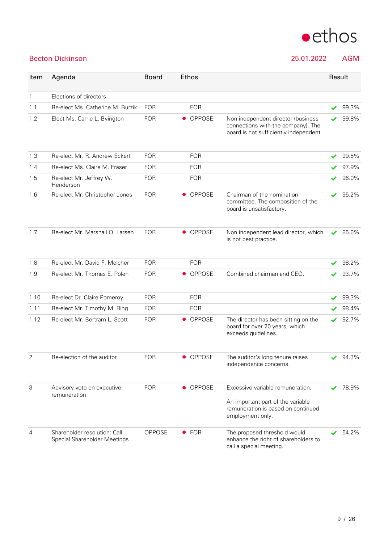

### Becton Dickinson 25.01.2022 AGM

| Item           | Agenda                                                       | <b>Board</b>  | <b>Ethos</b>               |                                                                                                                                 | Result |       |
|----------------|--------------------------------------------------------------|---------------|----------------------------|---------------------------------------------------------------------------------------------------------------------------------|--------|-------|
| $\mathbf{1}$   | Elections of directors                                       |               |                            |                                                                                                                                 |        |       |
| 1.1            | Re-elect Ms. Catherine M. Burzik                             | <b>FOR</b>    | <b>FOR</b>                 |                                                                                                                                 |        | 99.3% |
| 1.2            | Elect Ms. Carrie L. Byington                                 | <b>FOR</b>    | • OPPOSE                   | Non independent director (business<br>connections with the company). The<br>board is not sufficiently independent.              |        | 99.8% |
| 1.3            | Re-elect Mr. R. Andrew Eckert                                | <b>FOR</b>    | <b>FOR</b>                 |                                                                                                                                 | ✔      | 99.5% |
| 1.4            | Re-elect Ms. Claire M. Fraser                                | <b>FOR</b>    | <b>FOR</b>                 |                                                                                                                                 |        | 97.9% |
| 1.5            | Re-elect Mr. Jeffrey W.<br>Henderson                         | <b>FOR</b>    | <b>FOR</b>                 |                                                                                                                                 |        | 96.0% |
| 1.6            | Re-elect Mr. Christopher Jones                               | <b>FOR</b>    | OPPOSE<br>$\bullet$        | Chairman of the nomination<br>committee. The composition of the<br>board is unsatisfactory.                                     | ✔      | 95.2% |
| 1.7            | Re-elect Mr. Marshall O. Larsen                              | <b>FOR</b>    | • OPPOSE                   | Non independent lead director, which<br>is not best practice.                                                                   | ✔      | 85.6% |
| 1.8            | Re-elect Mr. David F. Melcher                                | <b>FOR</b>    | <b>FOR</b>                 |                                                                                                                                 |        | 98.2% |
| 1.9            | Re-elect Mr. Thomas E. Polen                                 | <b>FOR</b>    | OPPOSE<br>$\bullet$        | Combined chairman and CEO.                                                                                                      |        | 93.7% |
| 1.10           | Re-elect Dr. Claire Pomeroy                                  | <b>FOR</b>    | <b>FOR</b>                 |                                                                                                                                 | ✔      | 99.3% |
| 1.11           | Re-elect Mr. Timothy M. Ring                                 | <b>FOR</b>    | <b>FOR</b>                 |                                                                                                                                 |        | 98.4% |
| 1.12           | Re-elect Mr. Bertram L. Scott                                | <b>FOR</b>    | <b>OPPOSE</b><br>$\bullet$ | The director has been sitting on the<br>board for over 20 years, which<br>exceeds guidelines.                                   | ✔      | 92.7% |
| 2              | Re-election of the auditor                                   | <b>FOR</b>    | • OPPOSE                   | The auditor's long tenure raises<br>independence concerns.                                                                      |        | 94.3% |
| 3              | Advisory vote on executive<br>remuneration                   | <b>FOR</b>    | OPPOSE<br>$\bullet$        | Excessive variable remuneration.<br>An important part of the variable<br>remuneration is based on continued<br>employment only. |        | 78.9% |
| $\overline{4}$ | Shareholder resolution: Call<br>Special Shareholder Meetings | <b>OPPOSE</b> | $\bullet$ FOR              | The proposed threshold would<br>enhance the right of shareholders to<br>call a special meeting.                                 |        | 54.2% |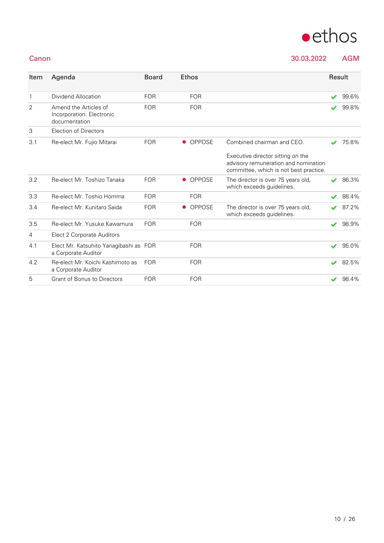

Canon 30.03.2022 AGM

| Item           | Agenda                                                              | <b>Board</b> | Ethos     |               |                                                                                                                     | Result                   |       |
|----------------|---------------------------------------------------------------------|--------------|-----------|---------------|---------------------------------------------------------------------------------------------------------------------|--------------------------|-------|
| $\mathbf{1}$   | Dividend Allocation                                                 | <b>FOR</b>   |           | <b>FOR</b>    |                                                                                                                     | $\overline{\mathscr{L}}$ | 99.6% |
| $\overline{2}$ | Amend the Articles of<br>Incorporation: Electronic<br>documentation | <b>FOR</b>   |           | <b>FOR</b>    |                                                                                                                     |                          | 99.8% |
| 3              | Election of Directors                                               |              |           |               |                                                                                                                     |                          |       |
| 3.1            | Re-elect Mr. Fujio Mitarai                                          | <b>FOR</b>   | $\bullet$ | <b>OPPOSE</b> | Combined chairman and CEO.                                                                                          |                          | 75.8% |
|                |                                                                     |              |           |               | Executive director sitting on the<br>advisory remuneration and nomination<br>committee, which is not best practice. |                          |       |
| 3.2            | Re-elect Mr. Toshizo Tanaka                                         | <b>FOR</b>   | $\bullet$ | <b>OPPOSE</b> | The director is over 75 years old,<br>which exceeds guidelines.                                                     |                          | 86.3% |
| 3.3            | Re-elect Mr. Toshio Homma                                           | <b>FOR</b>   |           | <b>FOR</b>    |                                                                                                                     |                          | 88.4% |
| 3.4            | Re-elect Mr. Kunitaro Saida                                         | <b>FOR</b>   | $\bullet$ | <b>OPPOSE</b> | The director is over 75 years old,<br>which exceeds quidelines.                                                     |                          | 87.2% |
| 3.5            | Re-elect Mr. Yusuke Kawamura                                        | <b>FOR</b>   |           | <b>FOR</b>    |                                                                                                                     | $\overline{\mathbf{v}}$  | 98.9% |
| 4              | Elect 2 Corporate Auditors                                          |              |           |               |                                                                                                                     |                          |       |
| 4.1            | Elect Mr. Katsuhito Yanagibashi as FOR<br>a Corporate Auditor       |              |           | <b>FOR</b>    |                                                                                                                     | $\overline{\mathscr{L}}$ | 95.0% |
| 4.2            | Re-elect Mr. Koichi Kashimoto as<br>a Corporate Auditor             | <b>FOR</b>   |           | <b>FOR</b>    |                                                                                                                     | $\overline{\mathscr{L}}$ | 82.5% |
| 5              | <b>Grant of Bonus to Directors</b>                                  | <b>FOR</b>   |           | <b>FOR</b>    |                                                                                                                     | $\blacktriangleright$    | 98.4% |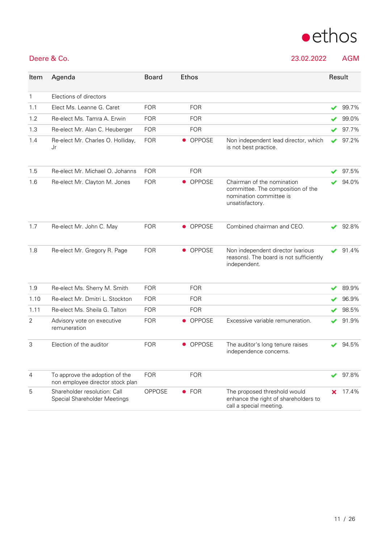

Deere & Co. 23.02.2022 AGM

| Item         | Agenda                                                             | <b>Board</b> | <b>Ethos</b>               |                                                                                                               |    | Result |
|--------------|--------------------------------------------------------------------|--------------|----------------------------|---------------------------------------------------------------------------------------------------------------|----|--------|
| $\mathbf{1}$ | Elections of directors                                             |              |                            |                                                                                                               |    |        |
| 1.1          | Elect Ms. Leanne G. Caret                                          | <b>FOR</b>   | <b>FOR</b>                 |                                                                                                               | ✔  | 99.7%  |
| 1.2          | Re-elect Ms. Tamra A. Erwin                                        | <b>FOR</b>   | <b>FOR</b>                 |                                                                                                               |    | 99.0%  |
| 1.3          | Re-elect Mr. Alan C. Heuberger                                     | <b>FOR</b>   | <b>FOR</b>                 |                                                                                                               |    | 97.7%  |
| 1.4          | Re-elect Mr. Charles O. Holliday,<br>Jr                            | <b>FOR</b>   | • OPPOSE                   | Non independent lead director, which<br>is not best practice.                                                 | ✔  | 97.2%  |
| 1.5          | Re-elect Mr. Michael O. Johanns                                    | <b>FOR</b>   | <b>FOR</b>                 |                                                                                                               |    | 97.5%  |
| 1.6          | Re-elect Mr. Clayton M. Jones                                      | <b>FOR</b>   | <b>OPPOSE</b><br>$\bullet$ | Chairman of the nomination<br>committee. The composition of the<br>nomination committee is<br>unsatisfactory. |    | 94.0%  |
| 1.7          | Re-elect Mr. John C. May                                           | <b>FOR</b>   | <b>OPPOSE</b><br>$\bullet$ | Combined chairman and CEO.                                                                                    |    | 92.8%  |
| 1.8          | Re-elect Mr. Gregory R. Page                                       | <b>FOR</b>   | • OPPOSE                   | Non independent director (various<br>reasons). The board is not sufficiently<br>independent.                  | ✔  | 91.4%  |
| 1.9          | Re-elect Ms. Sherry M. Smith                                       | <b>FOR</b>   | <b>FOR</b>                 |                                                                                                               | ✔  | 89.9%  |
| 1.10         | Re-elect Mr. Dmitri L. Stockton                                    | <b>FOR</b>   | <b>FOR</b>                 |                                                                                                               | ✔  | 96.9%  |
| 1.11         | Re-elect Ms. Sheila G. Talton                                      | <b>FOR</b>   | <b>FOR</b>                 |                                                                                                               | ✔  | 98.5%  |
| 2            | Advisory vote on executive<br>remuneration                         | <b>FOR</b>   | • OPPOSE                   | Excessive variable remuneration.                                                                              | ✔  | 91.9%  |
| 3            | Election of the auditor                                            | <b>FOR</b>   | <b>OPPOSE</b><br>$\bullet$ | The auditor's long tenure raises<br>independence concerns.                                                    | ✔  | 94.5%  |
| 4            | To approve the adoption of the<br>non employee director stock plan | <b>FOR</b>   | <b>FOR</b>                 |                                                                                                               |    | 97.8%  |
| 5            | Shareholder resolution: Call<br>Special Shareholder Meetings       | OPPOSE       | $\bullet$ FOR              | The proposed threshold would<br>enhance the right of shareholders to<br>call a special meeting.               | x. | 17.4%  |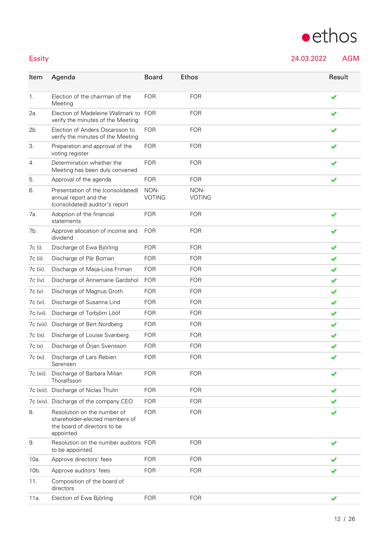## $\bullet$ ethos

Essity 24.03.2022 AGM

| Item              | Agenda                                                                                                     | <b>Board</b>          | Ethos                 | Result |
|-------------------|------------------------------------------------------------------------------------------------------------|-----------------------|-----------------------|--------|
| 1.                | Election of the chairman of the<br>Meeting                                                                 | <b>FOR</b>            | <b>FOR</b>            | ✔      |
| 2a.               | Election of Madeleine Wallmark to<br>verify the minutes of the Meeting                                     | <b>FOR</b>            | <b>FOR</b>            |        |
| 2b.               | Election of Anders Oscarsson to<br>verify the minutes of the Meeting                                       | <b>FOR</b>            | <b>FOR</b>            |        |
| 3.                | Preparation and approval of the<br>voting register                                                         | <b>FOR</b>            | <b>FOR</b>            |        |
| 4.                | Determination whether the<br>Meeting has been duly convened                                                | <b>FOR</b>            | <b>FOR</b>            |        |
| 5.                | Approval of the agenda                                                                                     | <b>FOR</b>            | <b>FOR</b>            | ✔      |
| 6.                | Presentation of the (consolidated)<br>annual report and the<br>(consolidated) auditor's report             | NON-<br><b>VOTING</b> | NON-<br><b>VOTING</b> |        |
| 7а.               | Adoption of the financial<br>statements                                                                    | <b>FOR</b>            | <b>FOR</b>            |        |
| 7b.               | Approve allocation of income and<br>dividend                                                               | <b>FOR</b>            | <b>FOR</b>            |        |
| 7c (i).           | Discharge of Ewa Björling                                                                                  | <b>FOR</b>            | <b>FOR</b>            | ✔      |
| 7c (ii).          | Discharge of Pär Boman                                                                                     | <b>FOR</b>            | <b>FOR</b>            | ✔      |
| 7c (iii).         | Discharge of Maija-Liisa Friman                                                                            | <b>FOR</b>            | <b>FOR</b>            | ✔      |
| 7c (iv).          | Discharge of Annemarie Gardshol                                                                            | <b>FOR</b>            | <b>FOR</b>            | ✔      |
| 7c (v).           | Discharge of Magnus Groth                                                                                  | <b>FOR</b>            | <b>FOR</b>            | ✔      |
| 7c (vi).          | Discharge of Susanna Lind                                                                                  | <b>FOR</b>            | <b>FOR</b>            | ✔      |
| 7c (vii).         | Discharge of Torbjörn Lööf                                                                                 | <b>FOR</b>            | <b>FOR</b>            | ✔      |
|                   | 7c (viii). Discharge of Bert Nordberg                                                                      | <b>FOR</b>            | <b>FOR</b>            | ✔      |
| 7c (ix).          | Discharge of Louise Svanberg                                                                               | <b>FOR</b>            | <b>FOR</b>            | ✔      |
| 7c (x).           | Discharge of Örjan Svensson                                                                                | <b>FOR</b>            | <b>FOR</b>            | ✔      |
| 7c (xi).          | Discharge of Lars Rebien<br>Sørensen                                                                       | <b>FOR</b>            | <b>FOR</b>            | ✔      |
| 7c (xii).         | Discharge of Barbara Milian<br>Thoralfsson                                                                 | <b>FOR</b>            | <b>FOR</b>            |        |
|                   | 7c (xiii). Discharge of Niclas Thulin                                                                      | <b>FOR</b>            | <b>FOR</b>            |        |
|                   | 7c (xiv). Discharge of the company CEO                                                                     | <b>FOR</b>            | <b>FOR</b>            |        |
| 8.                | Resolution on the number of<br>shareholder-elected members of<br>the board of directors to be<br>appointed | <b>FOR</b>            | <b>FOR</b>            |        |
| 9.                | Resolution on the number auditors FOR<br>to be appointed                                                   |                       | <b>FOR</b>            |        |
| 10a.              | Approve directors' fees                                                                                    | <b>FOR</b>            | <b>FOR</b>            |        |
| 10 <sub>b</sub> . | Approve auditors' fees                                                                                     | <b>FOR</b>            | <b>FOR</b>            |        |
| 11.               | Composition of the board of<br>directors                                                                   |                       |                       |        |
| 11a.              | Election of Ewa Björling                                                                                   | <b>FOR</b>            | <b>FOR</b>            | ✔      |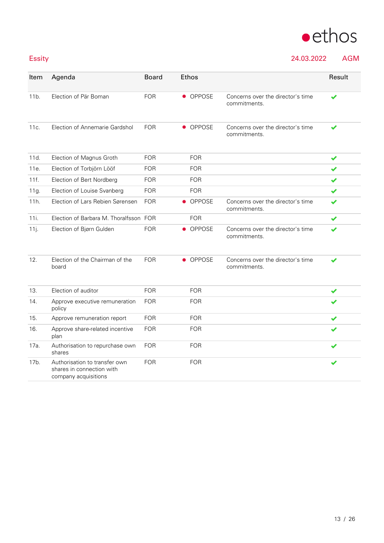

### Essity 24.03.2022 AGM

|        |        | . . |  |
|--------|--------|-----|--|
|        |        |     |  |
| $\sim$ | $\sim$ |     |  |

| Item | Agenda                                                                             | <b>Board</b> | Ethos                      |                                                   | Result |
|------|------------------------------------------------------------------------------------|--------------|----------------------------|---------------------------------------------------|--------|
| 11b. | Election of Pär Boman                                                              | <b>FOR</b>   | • OPPOSE                   | Concerns over the director's time<br>commitments. | ✔      |
| 11c. | Election of Annemarie Gardshol                                                     | <b>FOR</b>   | • OPPOSE                   | Concerns over the director's time<br>commitments. |        |
| 11d. | Election of Magnus Groth                                                           | <b>FOR</b>   | <b>FOR</b>                 |                                                   | ✔      |
| 11e. | Election of Torbjörn Lööf                                                          | <b>FOR</b>   | <b>FOR</b>                 |                                                   | ✔      |
| 11f. | Election of Bert Nordberg                                                          | <b>FOR</b>   | <b>FOR</b>                 |                                                   | ✔      |
| 11g. | Election of Louise Svanberg                                                        | <b>FOR</b>   | <b>FOR</b>                 |                                                   | ✔      |
| 11h. | Election of Lars Rebien Sørensen                                                   | <b>FOR</b>   | OPPOSE<br>$\bullet$        | Concerns over the director's time<br>commitments. |        |
| 11i. | Election of Barbara M. Thoralfsson FOR                                             |              | <b>FOR</b>                 |                                                   | ✔      |
| 11j. | Election of Bjørn Gulden                                                           | <b>FOR</b>   | <b>OPPOSE</b><br>$\bullet$ | Concerns over the director's time<br>commitments. |        |
| 12.  | Election of the Chairman of the<br>board                                           | <b>FOR</b>   | • OPPOSE                   | Concerns over the director's time<br>commitments. |        |
| 13.  | Election of auditor                                                                | <b>FOR</b>   | <b>FOR</b>                 |                                                   | ✔      |
| 14.  | Approve executive remuneration<br>policy                                           | <b>FOR</b>   | <b>FOR</b>                 |                                                   |        |
| 15.  | Approve remuneration report                                                        | <b>FOR</b>   | <b>FOR</b>                 |                                                   | ✔      |
| 16.  | Approve share-related incentive<br>plan                                            | <b>FOR</b>   | <b>FOR</b>                 |                                                   |        |
| 17a. | Authorisation to repurchase own<br>shares                                          | <b>FOR</b>   | <b>FOR</b>                 |                                                   |        |
| 17b. | Authorisation to transfer own<br>shares in connection with<br>company acquisitions | <b>FOR</b>   | <b>FOR</b>                 |                                                   |        |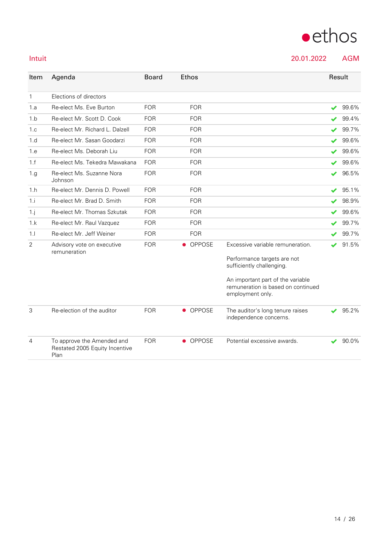

Intuit 20.01.2022 AGM

| Item           | Agenda                                                               | <b>Board</b> | <b>Ethos</b>               |                                                                                             | Result |       |
|----------------|----------------------------------------------------------------------|--------------|----------------------------|---------------------------------------------------------------------------------------------|--------|-------|
| $\mathbf{1}$   | Elections of directors                                               |              |                            |                                                                                             |        |       |
| 1.a            | Re-elect Ms. Eve Burton                                              | <b>FOR</b>   | <b>FOR</b>                 |                                                                                             | ✔      | 99.6% |
| 1.b            | Re-elect Mr. Scott D. Cook                                           | <b>FOR</b>   | <b>FOR</b>                 |                                                                                             |        | 99.4% |
| 1.c            | Re-elect Mr. Richard L. Dalzell                                      | <b>FOR</b>   | <b>FOR</b>                 |                                                                                             |        | 99.7% |
| 1.d            | Re-elect Mr. Sasan Goodarzi                                          | <b>FOR</b>   | <b>FOR</b>                 |                                                                                             | ✔      | 99.6% |
| 1.e            | Re-elect Ms. Deborah Liu                                             | <b>FOR</b>   | <b>FOR</b>                 |                                                                                             | ✔      | 99.6% |
| 1.f            | Re-elect Ms. Tekedra Mawakana                                        | <b>FOR</b>   | <b>FOR</b>                 |                                                                                             | ✔      | 99.6% |
| 1.g            | Re-elect Ms. Suzanne Nora<br>Johnson                                 | <b>FOR</b>   | <b>FOR</b>                 |                                                                                             | ✔      | 96.5% |
| 1.h            | Re-elect Mr. Dennis D. Powell                                        | <b>FOR</b>   | <b>FOR</b>                 |                                                                                             | ✔      | 95.1% |
| 1.i            | Re-elect Mr. Brad D. Smith                                           | <b>FOR</b>   | <b>FOR</b>                 |                                                                                             | ✔      | 98.9% |
| $1 \cdot j$    | Re-elect Mr. Thomas Szkutak                                          | <b>FOR</b>   | <b>FOR</b>                 |                                                                                             | ✔      | 99.6% |
| 1.k            | Re-elect Mr. Raul Vazquez                                            | <b>FOR</b>   | <b>FOR</b>                 |                                                                                             |        | 99.7% |
| 1.1            | Re-elect Mr. Jeff Weiner                                             | <b>FOR</b>   | <b>FOR</b>                 |                                                                                             |        | 99.7% |
| 2              | Advisory vote on executive<br>remuneration                           | <b>FOR</b>   | OPPOSE                     | Excessive variable remuneration.                                                            | v      | 91.5% |
|                |                                                                      |              |                            | Performance targets are not<br>sufficiently challenging.                                    |        |       |
|                |                                                                      |              |                            | An important part of the variable<br>remuneration is based on continued<br>employment only. |        |       |
| 3              | Re-election of the auditor                                           | <b>FOR</b>   | OPPOSE<br>$\bullet$        | The auditor's long tenure raises<br>independence concerns.                                  |        | 95.2% |
| $\overline{4}$ | To approve the Amended and<br>Restated 2005 Equity Incentive<br>Plan | <b>FOR</b>   | <b>OPPOSE</b><br>$\bullet$ | Potential excessive awards.                                                                 |        | 90.0% |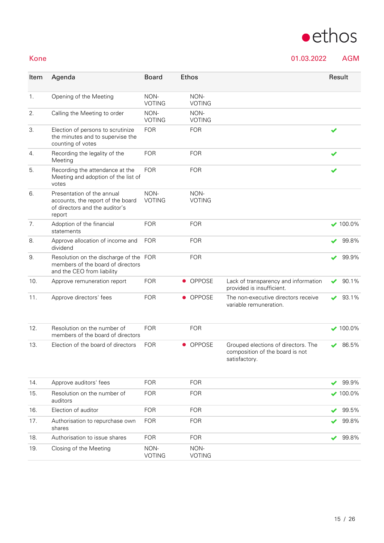## $\bullet$ ethos

### Kone 01.03.2022 AGM

| Item | Agenda                                                                                                      | <b>Board</b>          |           | Ethos                 |                                                                                         |   | Result          |
|------|-------------------------------------------------------------------------------------------------------------|-----------------------|-----------|-----------------------|-----------------------------------------------------------------------------------------|---|-----------------|
| 1.   | Opening of the Meeting                                                                                      | NON-<br><b>VOTING</b> |           | NON-<br><b>VOTING</b> |                                                                                         |   |                 |
| 2.   | Calling the Meeting to order                                                                                | NON-<br><b>VOTING</b> |           | NON-<br><b>VOTING</b> |                                                                                         |   |                 |
| 3.   | Election of persons to scrutinize<br>the minutes and to supervise the<br>counting of votes                  | <b>FOR</b>            |           | <b>FOR</b>            |                                                                                         | ✔ |                 |
| 4.   | Recording the legality of the<br>Meeting                                                                    | <b>FOR</b>            |           | <b>FOR</b>            |                                                                                         |   |                 |
| 5.   | Recording the attendance at the<br>Meeting and adoption of the list of<br>votes                             | <b>FOR</b>            |           | <b>FOR</b>            |                                                                                         |   |                 |
| 6.   | Presentation of the annual<br>accounts, the report of the board<br>of directors and the auditor's<br>report | NON-<br><b>VOTING</b> |           | NON-<br><b>VOTING</b> |                                                                                         |   |                 |
| 7.   | Adoption of the financial<br>statements                                                                     | <b>FOR</b>            |           | <b>FOR</b>            |                                                                                         |   | $\times$ 100.0% |
| 8.   | Approve allocation of income and<br>dividend                                                                | <b>FOR</b>            |           | <b>FOR</b>            |                                                                                         |   | 99.8%           |
| 9.   | Resolution on the discharge of the FOR<br>members of the board of directors<br>and the CEO from liability   |                       |           | <b>FOR</b>            |                                                                                         |   | 99.9%           |
| 10.  | Approve remuneration report                                                                                 | <b>FOR</b>            | $\bullet$ | OPPOSE                | Lack of transparency and information<br>provided is insufficient.                       |   | 90.1%           |
| 11.  | Approve directors' fees                                                                                     | <b>FOR</b>            |           | • OPPOSE              | The non-executive directors receive<br>variable remuneration.                           | ✔ | 93.1%           |
| 12.  | Resolution on the number of<br>members of the board of directors                                            | <b>FOR</b>            |           | <b>FOR</b>            |                                                                                         |   | $\times$ 100.0% |
| 13.  | Election of the board of directors                                                                          | <b>FOR</b>            | $\bullet$ | <b>OPPOSE</b>         | Grouped elections of directors. The<br>composition of the board is not<br>satisfactory. |   | 86.5%           |
| 14.  | Approve auditors' fees                                                                                      | <b>FOR</b>            |           | <b>FOR</b>            |                                                                                         |   | 99.9%           |
| 15.  | Resolution on the number of<br>auditors                                                                     | <b>FOR</b>            |           | <b>FOR</b>            |                                                                                         |   | $\times$ 100.0% |
| 16.  | Election of auditor                                                                                         | <b>FOR</b>            |           | <b>FOR</b>            |                                                                                         |   | 99.5%           |
| 17.  | Authorisation to repurchase own<br>shares                                                                   | <b>FOR</b>            |           | <b>FOR</b>            |                                                                                         |   | 99.8%           |
| 18.  | Authorisation to issue shares                                                                               | <b>FOR</b>            |           | <b>FOR</b>            |                                                                                         |   | 99.8%           |
| 19.  | Closing of the Meeting                                                                                      | NON-<br><b>VOTING</b> |           | NON-<br><b>VOTING</b> |                                                                                         |   |                 |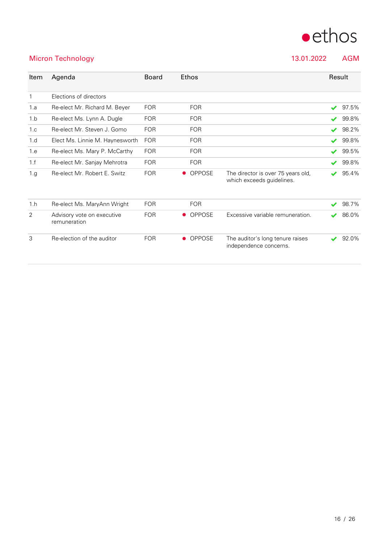

### Micron Technology 13.01.2022 AGM

| Item         | Agenda                                     | <b>Board</b> | <b>Ethos</b>               |                                                                 |                       | Result |
|--------------|--------------------------------------------|--------------|----------------------------|-----------------------------------------------------------------|-----------------------|--------|
| $\mathbf{1}$ | Elections of directors                     |              |                            |                                                                 |                       |        |
| 1.a          | Re-elect Mr. Richard M. Beyer              | <b>FOR</b>   | <b>FOR</b>                 |                                                                 | $\blacktriangleright$ | 97.5%  |
| 1.b          | Re-elect Ms. Lynn A. Dugle                 | <b>FOR</b>   | <b>FOR</b>                 |                                                                 | $\blacktriangleright$ | 99.8%  |
| 1.c          | Re-elect Mr. Steven J. Gomo                | <b>FOR</b>   | <b>FOR</b>                 |                                                                 | $\blacktriangleright$ | 98.2%  |
| 1.d          | Elect Ms. Linnie M. Haynesworth            | <b>FOR</b>   | <b>FOR</b>                 |                                                                 | ✔                     | 99.8%  |
| 1.e          | Re-elect Ms. Mary P. McCarthy              | <b>FOR</b>   | <b>FOR</b>                 |                                                                 | ✔                     | 99.5%  |
| 1.f          | Re-elect Mr. Sanjay Mehrotra               | <b>FOR</b>   | <b>FOR</b>                 |                                                                 | ✔                     | 99.8%  |
| 1.g          | Re-elect Mr. Robert E. Switz               | <b>FOR</b>   | <b>OPPOSE</b><br>$\bullet$ | The director is over 75 years old,<br>which exceeds guidelines. | ✔                     | 95.4%  |
| 1.h          | Re-elect Ms. MaryAnn Wright                | <b>FOR</b>   | <b>FOR</b>                 |                                                                 | ✔                     | 98.7%  |
| 2            | Advisory vote on executive<br>remuneration | <b>FOR</b>   | <b>OPPOSE</b><br>$\bullet$ | Excessive variable remuneration.                                | ✔                     | 86.0%  |
| 3            | Re-election of the auditor                 | <b>FOR</b>   | OPPOSE<br>$\bullet$        | The auditor's long tenure raises<br>independence concerns.      |                       | 92.0%  |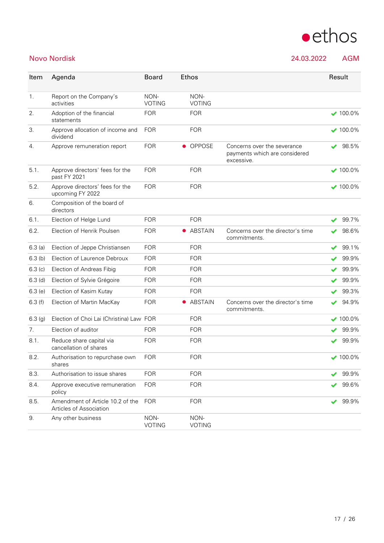

Novo Nordisk 24.03.2022 AGM

| Item      | Agenda                                                      | <b>Board</b>          | Ethos                 |                                                                            | Result           |
|-----------|-------------------------------------------------------------|-----------------------|-----------------------|----------------------------------------------------------------------------|------------------|
| 1.        | Report on the Company's<br>activities                       | NON-<br><b>VOTING</b> | NON-<br><b>VOTING</b> |                                                                            |                  |
| 2.        | Adoption of the financial<br>statements                     | <b>FOR</b>            | <b>FOR</b>            |                                                                            | $\times$ 100.0%  |
| 3.        | Approve allocation of income and<br>dividend                | <b>FOR</b>            | <b>FOR</b>            |                                                                            | $\bigvee$ 100.0% |
| 4.        | Approve remuneration report                                 | <b>FOR</b>            | • OPPOSE              | Concerns over the severance<br>payments which are considered<br>excessive. | 98.5%<br>✔       |
| 5.1.      | Approve directors' fees for the<br>past FY 2021             | <b>FOR</b>            | <b>FOR</b>            |                                                                            | $\times$ 100.0%  |
| 5.2.      | Approve directors' fees for the<br>upcoming FY 2022         | <b>FOR</b>            | <b>FOR</b>            |                                                                            | $\vee$ 100.0%    |
| 6.        | Composition of the board of<br>directors                    |                       |                       |                                                                            |                  |
| 6.1.      | Election of Helge Lund                                      | <b>FOR</b>            | <b>FOR</b>            |                                                                            | 99.7%<br>✔       |
| 6.2.      | Election of Henrik Poulsen                                  | <b>FOR</b>            | ABSTAIN               | Concerns over the director's time<br>commitments.                          | 98.6%            |
| 6.3(a)    | Election of Jeppe Christiansen                              | <b>FOR</b>            | <b>FOR</b>            |                                                                            | 99.1%<br>✔       |
| $6.3$ (b) | Election of Laurence Debroux                                | <b>FOR</b>            | <b>FOR</b>            |                                                                            | 99.9%<br>✔       |
| 6.3(c)    | Election of Andreas Fibig                                   | <b>FOR</b>            | <b>FOR</b>            |                                                                            | 99.9%            |
| $6.3$ (d) | Election of Sylvie Grégoire                                 | <b>FOR</b>            | <b>FOR</b>            |                                                                            | 99.9%            |
| 6.3(e)    | Election of Kasim Kutay                                     | <b>FOR</b>            | <b>FOR</b>            |                                                                            | 99.3%<br>✔       |
| 6.3(f)    | Election of Martin MacKay                                   | <b>FOR</b>            | ABSTAIN               | Concerns over the director's time<br>commitments.                          | 94.9%            |
| 6.3(g)    | Election of Choi Lai (Christina) Law FOR                    |                       | <b>FOR</b>            |                                                                            | $\times$ 100.0%  |
| 7.        | Election of auditor                                         | <b>FOR</b>            | <b>FOR</b>            |                                                                            | 99.9%            |
| 8.1.      | Reduce share capital via<br>cancellation of shares          | <b>FOR</b>            | <b>FOR</b>            |                                                                            | 99.9%<br>✔       |
| 8.2.      | Authorisation to repurchase own<br>shares                   | <b>FOR</b>            | <b>FOR</b>            |                                                                            | $\times$ 100.0%  |
| 8.3.      | Authorisation to issue shares                               | <b>FOR</b>            | <b>FOR</b>            |                                                                            | 99.9%            |
| 8.4.      | Approve executive remuneration<br>policy                    | <b>FOR</b>            | <b>FOR</b>            |                                                                            | 99.6%            |
| 8.5.      | Amendment of Article 10.2 of the<br>Articles of Association | <b>FOR</b>            | <b>FOR</b>            |                                                                            | 99.9%<br>✔       |
| 9.        | Any other business                                          | NON-<br><b>VOTING</b> | NON-<br><b>VOTING</b> |                                                                            |                  |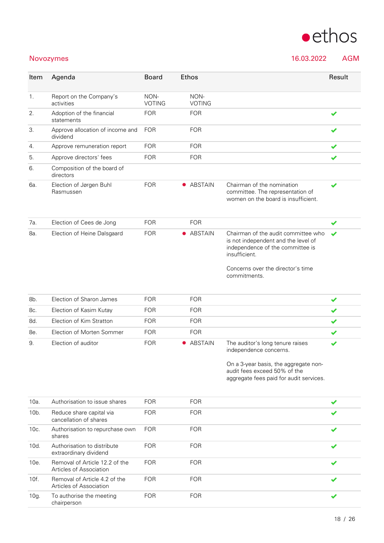

### Novozymes 16.03.2022 AGM

| Item    | Agenda                                                    | <b>Board</b>          | <b>Ethos</b>          |                                                                                                                                 | Result               |
|---------|-----------------------------------------------------------|-----------------------|-----------------------|---------------------------------------------------------------------------------------------------------------------------------|----------------------|
| 1.      | Report on the Company's<br>activities                     | NON-<br><b>VOTING</b> | NON-<br><b>VOTING</b> |                                                                                                                                 |                      |
| 2.      | Adoption of the financial<br>statements                   | <b>FOR</b>            | <b>FOR</b>            |                                                                                                                                 |                      |
| 3.      | Approve allocation of income and<br>dividend              | <b>FOR</b>            | <b>FOR</b>            |                                                                                                                                 |                      |
| 4.      | Approve remuneration report                               | <b>FOR</b>            | <b>FOR</b>            |                                                                                                                                 | ✔                    |
| 5.      | Approve directors' fees                                   | <b>FOR</b>            | <b>FOR</b>            |                                                                                                                                 | ✔                    |
| 6.      | Composition of the board of<br>directors                  |                       |                       |                                                                                                                                 |                      |
| 6а.     | Election of Jørgen Buhl<br>Rasmussen                      | <b>FOR</b>            | • ABSTAIN             | Chairman of the nomination<br>committee. The representation of<br>women on the board is insufficient.                           | ✔                    |
| 7а.     | Election of Cees de Jong                                  | <b>FOR</b>            | <b>FOR</b>            |                                                                                                                                 | ✔                    |
| 8a.     | Election of Heine Dalsgaard                               | <b>FOR</b>            | • ABSTAIN             | Chairman of the audit committee who<br>is not independent and the level of<br>independence of the committee is<br>insufficient. |                      |
|         |                                                           |                       |                       | Concerns over the director's time<br>commitments.                                                                               |                      |
| 8b.     | Election of Sharon James                                  | <b>FOR</b>            | <b>FOR</b>            |                                                                                                                                 | ✔                    |
| 8c.     | Election of Kasim Kutay                                   | <b>FOR</b>            | <b>FOR</b>            |                                                                                                                                 | ✔                    |
| 8d.     | Election of Kim Stratton                                  | <b>FOR</b>            | <b>FOR</b>            |                                                                                                                                 | ✔                    |
| 8e.     | Election of Morten Sommer                                 | <b>FOR</b>            | <b>FOR</b>            |                                                                                                                                 | ✔                    |
| 9.      | Election of auditor                                       | <b>FOR</b>            | • ABSTAIN             | The auditor's long tenure raises<br>independence concerns.                                                                      | ✔                    |
|         |                                                           |                       |                       | On a 3-year basis, the aggregate non-<br>audit fees exceed 50% of the<br>aggregate fees paid for audit services.                |                      |
| 10a.    | Authorisation to issue shares                             | <b>FOR</b>            | <b>FOR</b>            |                                                                                                                                 | $\blacktriangledown$ |
| $10b$ . | Reduce share capital via<br>cancellation of shares        | <b>FOR</b>            | <b>FOR</b>            |                                                                                                                                 |                      |
| 10c.    | Authorisation to repurchase own<br>shares                 | <b>FOR</b>            | <b>FOR</b>            |                                                                                                                                 |                      |
| 10d.    | Authorisation to distribute<br>extraordinary dividend     | <b>FOR</b>            | <b>FOR</b>            |                                                                                                                                 |                      |
| 10e.    | Removal of Article 12.2 of the<br>Articles of Association | <b>FOR</b>            | <b>FOR</b>            |                                                                                                                                 |                      |
| 10f.    | Removal of Article 4.2 of the<br>Articles of Association  | <b>FOR</b>            | <b>FOR</b>            |                                                                                                                                 |                      |
| 10g.    | To authorise the meeting<br>chairperson                   | <b>FOR</b>            | <b>FOR</b>            |                                                                                                                                 |                      |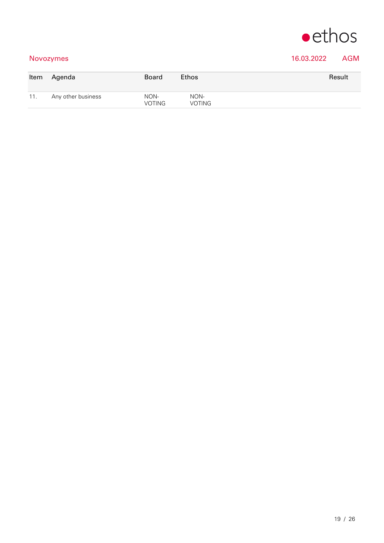

### Novozymes 16.03.2022 AGM

| Item | Agenda             | <b>Board</b>          | <b>Ethos</b>   | Result |
|------|--------------------|-----------------------|----------------|--------|
| 11.  | Any other business | NON-<br><b>VOTING</b> | NON-<br>VOTING |        |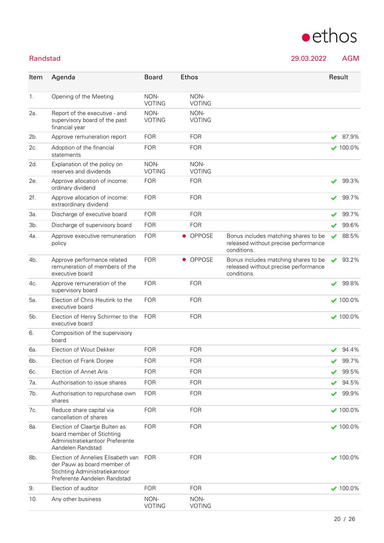### Randstad 29.03.2022

|  | <b>AGM</b> |
|--|------------|
|  |            |

 $\bullet$ ethos

| Item           | Agenda                                                                                                                              | <b>Board</b>          | <b>Ethos</b>          |                                                                                             |                       | Result          |
|----------------|-------------------------------------------------------------------------------------------------------------------------------------|-----------------------|-----------------------|---------------------------------------------------------------------------------------------|-----------------------|-----------------|
|                |                                                                                                                                     |                       |                       |                                                                                             |                       |                 |
| $\mathbf{1}$ . | Opening of the Meeting                                                                                                              | NON-<br><b>VOTING</b> | NON-<br><b>VOTING</b> |                                                                                             |                       |                 |
| 2a.            | Report of the executive - and<br>supervisory board of the past<br>financial year                                                    | NON-<br><b>VOTING</b> | NON-<br><b>VOTING</b> |                                                                                             |                       |                 |
| 2b.            | Approve remuneration report                                                                                                         | <b>FOR</b>            | <b>FOR</b>            |                                                                                             |                       | 87.9%           |
| 2c.            | Adoption of the financial<br>statements                                                                                             | <b>FOR</b>            | <b>FOR</b>            |                                                                                             |                       | $\times$ 100.0% |
| 2d.            | Explanation of the policy on<br>reserves and dividends                                                                              | NON-<br><b>VOTING</b> | NON-<br><b>VOTING</b> |                                                                                             |                       |                 |
| 2e.            | Approve allocation of income:<br>ordinary dividend                                                                                  | <b>FOR</b>            | <b>FOR</b>            |                                                                                             |                       | 99.3%           |
| 2f.            | Approve allocation of income:<br>extraordinary dividend                                                                             | <b>FOR</b>            | <b>FOR</b>            |                                                                                             |                       | 99.7%           |
| За.            | Discharge of executive board                                                                                                        | <b>FOR</b>            | <b>FOR</b>            |                                                                                             |                       | 99.7%           |
| 3b.            | Discharge of supervisory board                                                                                                      | <b>FOR</b>            | <b>FOR</b>            |                                                                                             |                       | 99.6%           |
| 4а.            | Approve executive remuneration<br>policy                                                                                            | <b>FOR</b>            | • OPPOSE              | Bonus includes matching shares to be<br>released without precise performance<br>conditions. | ✔                     | 88.5%           |
| 4b.            | Approve performance related<br>remuneration of members of the<br>executive board                                                    | <b>FOR</b>            | OPPOSE<br>$\bullet$   | Bonus includes matching shares to be<br>released without precise performance<br>conditions. | $\blacktriangleright$ | 93.2%           |
| 4с.            | Approve remuneration of the<br>supervisory board                                                                                    | <b>FOR</b>            | <b>FOR</b>            |                                                                                             | ✔                     | 99.8%           |
| 5а.            | Election of Chris Heutink to the<br>executive board                                                                                 | <b>FOR</b>            | <b>FOR</b>            |                                                                                             |                       | $\times$ 100.0% |
| 5b.            | Election of Henry Schirmer to the<br>executive board                                                                                | <b>FOR</b>            | <b>FOR</b>            |                                                                                             |                       | $\times$ 100.0% |
| 6.             | Composition of the supervisory<br>board                                                                                             |                       |                       |                                                                                             |                       |                 |
| 6а.            | Election of Wout Dekker                                                                                                             | <b>FOR</b>            | <b>FOR</b>            |                                                                                             |                       | 94.4%           |
| 6b.            | Election of Frank Dorjee                                                                                                            | <b>FOR</b>            | <b>FOR</b>            |                                                                                             | ✔                     | 99.7%           |
| 6с.            | Election of Annet Aris                                                                                                              | <b>FOR</b>            | <b>FOR</b>            |                                                                                             |                       | 99.5%           |
| 7а.            | Authorisation to issue shares                                                                                                       | <b>FOR</b>            | <b>FOR</b>            |                                                                                             |                       | 94.5%           |
| 7b.            | Authorisation to repurchase own<br>shares                                                                                           | <b>FOR</b>            | <b>FOR</b>            |                                                                                             |                       | 99.9%           |
| 7с.            | Reduce share capital via<br>cancellation of shares                                                                                  | <b>FOR</b>            | <b>FOR</b>            |                                                                                             |                       | $\times$ 100.0% |
| 8a.            | Election of Claartje Bulten as<br>board member of Stichting<br>Administratiekantoor Preferente<br>Aandelen Randstad                 | <b>FOR</b>            | <b>FOR</b>            |                                                                                             |                       | $\times$ 100.0% |
| 8b.            | Election of Annelies Elisabeth van<br>der Pauw as board member of<br>Stichting Administratiekantoor<br>Preferente Aandelen Randstad | <b>FOR</b>            | <b>FOR</b>            |                                                                                             |                       | $\times$ 100.0% |
| 9.             | Election of auditor                                                                                                                 | <b>FOR</b>            | <b>FOR</b>            |                                                                                             |                       | $\times$ 100.0% |
| 10.            | Any other business                                                                                                                  | NON-<br><b>VOTING</b> | NON-<br><b>VOTING</b> |                                                                                             |                       |                 |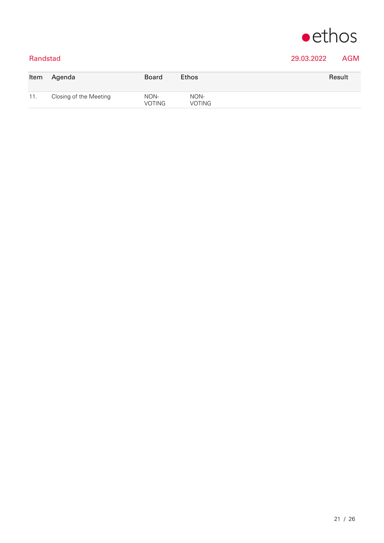

### Randstad 29.03.2022 AGM

| Item | Agenda                 | Board                 | <b>Ethos</b>          | Result |
|------|------------------------|-----------------------|-----------------------|--------|
| 11.  | Closing of the Meeting | NON-<br><b>VOTING</b> | NON-<br><b>VOTING</b> |        |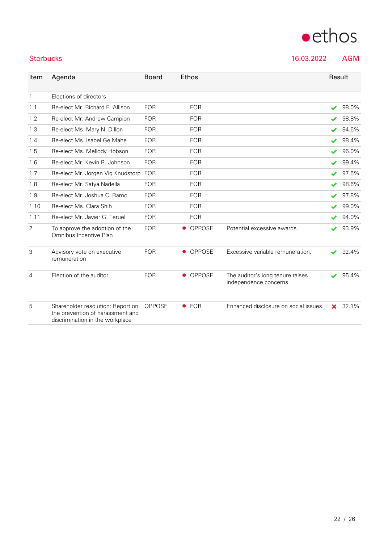|      | Elections of directors                                   |            |                     |                                                            |                          |       |
|------|----------------------------------------------------------|------------|---------------------|------------------------------------------------------------|--------------------------|-------|
| 1.1  | Re-elect Mr. Richard E. Allison                          | <b>FOR</b> | <b>FOR</b>          |                                                            | $\blacktriangleright$    | 98.0% |
| 1.2  | Re-elect Mr. Andrew Campion                              | <b>FOR</b> | <b>FOR</b>          |                                                            |                          | 98.8% |
| 1.3  | Re-elect Ms. Mary N. Dillon                              | <b>FOR</b> | <b>FOR</b>          |                                                            |                          | 94.6% |
| 1.4  | Re-elect Ms. Isabel Ge Mahe                              | <b>FOR</b> | <b>FOR</b>          |                                                            | $\blacktriangleright$    | 98.4% |
| 1.5  | Re-elect Ms. Mellody Hobson                              | <b>FOR</b> | <b>FOR</b>          |                                                            | $\overline{\mathscr{L}}$ | 96.0% |
| 1.6  | Re-elect Mr. Kevin R. Johnson                            | <b>FOR</b> | <b>FOR</b>          |                                                            | $\overline{\mathscr{L}}$ | 99.4% |
| 1.7  | Re-elect Mr. Jorgen Vig Knudstorp                        | <b>FOR</b> | <b>FOR</b>          |                                                            | $\blacktriangleright$    | 97.5% |
| 1.8  | Re-elect Mr. Satya Nadella                               | <b>FOR</b> | <b>FOR</b>          |                                                            | $\checkmark$             | 98.6% |
| 1.9  | Re-elect Mr. Joshua C. Ramo                              | <b>FOR</b> | <b>FOR</b>          |                                                            | ✔                        | 97.8% |
| 1.10 | Re-elect Ms. Clara Shih                                  | <b>FOR</b> | <b>FOR</b>          |                                                            | $\overline{\mathbf{v}}$  | 99.0% |
| 1.11 | Re-elect Mr. Javier G. Teruel                            | <b>FOR</b> | <b>FOR</b>          |                                                            | $\blacktriangleright$    | 94.0% |
| 2    | To approve the adoption of the<br>Omnibus Incentive Plan | <b>FOR</b> | <b>OPPOSE</b>       | Potential excessive awards.                                |                          | 93.9% |
| 3    | Advisory vote on executive<br>remuneration               | <b>FOR</b> | • OPPOSE            | Excessive variable remuneration.                           | $\overline{\mathscr{L}}$ | 92.4% |
| 4    | Election of the auditor                                  | <b>FOR</b> | OPPOSE<br>$\bullet$ | The auditor's long tenure raises<br>independence concerns. |                          | 95.4% |
|      |                                                          |            |                     |                                                            |                          |       |

Item Agenda Board Ethos Result

### 5 Shareholder resolution: Report on OPPOSE the prevention of harassment and discrimination in the workplace ● FOR Enhanced disclosure on social issues. **x** 32.1%



Starbucks 16.03.2022 AGM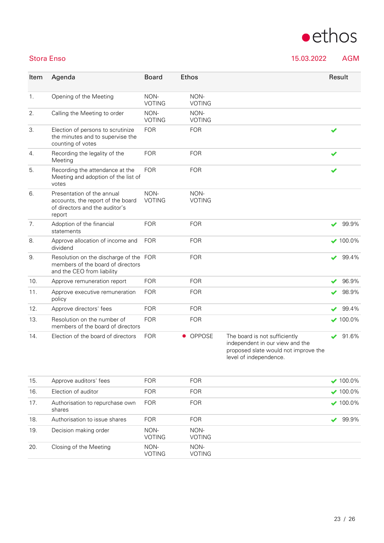| Item | Agenda                                                                                                      | <b>Board</b>          | <b>Ethos</b>          |                                                                  | Result          |
|------|-------------------------------------------------------------------------------------------------------------|-----------------------|-----------------------|------------------------------------------------------------------|-----------------|
| 1.   | Opening of the Meeting                                                                                      | NON-<br><b>VOTING</b> | NON-<br><b>VOTING</b> |                                                                  |                 |
| 2.   | Calling the Meeting to order                                                                                | NON-<br><b>VOTING</b> | NON-<br><b>VOTING</b> |                                                                  |                 |
| 3.   | Election of persons to scrutinize<br>the minutes and to supervise the<br>counting of votes                  | <b>FOR</b>            | <b>FOR</b>            |                                                                  |                 |
| 4.   | Recording the legality of the<br>Meeting                                                                    | <b>FOR</b>            | <b>FOR</b>            |                                                                  |                 |
| 5.   | Recording the attendance at the<br>Meeting and adoption of the list of<br>votes                             | <b>FOR</b>            | <b>FOR</b>            |                                                                  | ✔               |
| 6.   | Presentation of the annual<br>accounts, the report of the board<br>of directors and the auditor's<br>report | NON-<br><b>VOTING</b> | NON-<br><b>VOTING</b> |                                                                  |                 |
| 7.   | Adoption of the financial<br>statements                                                                     | <b>FOR</b>            | <b>FOR</b>            |                                                                  | 99.9%<br>✔      |
| 8.   | Approve allocation of income and<br>dividend                                                                | <b>FOR</b>            | <b>FOR</b>            |                                                                  | $\times$ 100.0% |
| 9.   | Resolution on the discharge of the FOR<br>members of the board of directors<br>and the CEO from liability   |                       | <b>FOR</b>            |                                                                  | 99.4%<br>V      |
| 10.  | Approve remuneration report                                                                                 | <b>FOR</b>            | <b>FOR</b>            |                                                                  | 96.9%           |
| 11.  | Approve executive remuneration<br>policy                                                                    | <b>FOR</b>            | <b>FOR</b>            |                                                                  | 98.9%           |
| 12.  | Approve directors' fees                                                                                     | <b>FOR</b>            | <b>FOR</b>            |                                                                  | 99.4%           |
| 13.  | Resolution on the number of<br>members of the board of directors                                            | <b>FOR</b>            | <b>FOR</b>            |                                                                  | $\times$ 100.0% |
| 14.  | Election of the board of directors                                                                          | <b>FOR</b>            | OPPOSE                | The board is not sufficiently<br>independent in our view and the | 91.6%           |

proposed slate would not improve the level of independence.

| 15. | Approve auditors' fees                    | <b>FOR</b>            | <b>FOR</b>            | $\vee$ 100.0%   |
|-----|-------------------------------------------|-----------------------|-----------------------|-----------------|
| 16. | Election of auditor                       | <b>FOR</b>            | <b>FOR</b>            | $\times$ 100.0% |
| 17. | Authorisation to repurchase own<br>shares | <b>FOR</b>            | <b>FOR</b>            | $\vee$ 100.0%   |
| 18. | Authorisation to issue shares             | <b>FOR</b>            | <b>FOR</b>            | 99.9%           |
| 19. | Decision making order                     | NON-<br><b>VOTING</b> | NON-<br><b>VOTING</b> |                 |
| 20. | Closing of the Meeting                    | NON-<br><b>VOTING</b> | NON-<br><b>VOTING</b> |                 |

Stora Enso 15.03.2022 AGM

## $\bullet$ ethos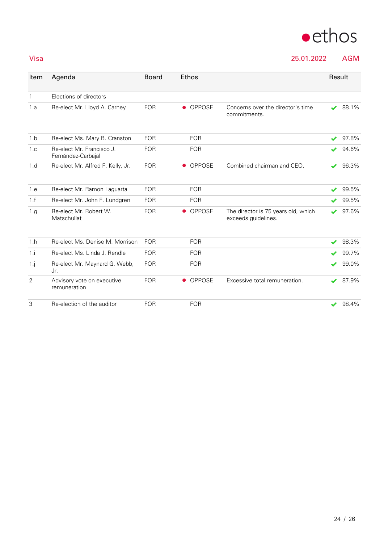

Visa 25.01.2022 AGM

| Item         | Agenda                                          | <b>Board</b> | <b>Ethos</b>               |                                                            | Result           |       |
|--------------|-------------------------------------------------|--------------|----------------------------|------------------------------------------------------------|------------------|-------|
| $\mathbf{1}$ | Elections of directors                          |              |                            |                                                            |                  |       |
| 1.a          | Re-elect Mr. Lloyd A. Carney                    | <b>FOR</b>   | OPPOSE<br>$\bullet$        | Concerns over the director's time<br>commitments.          | J                | 88.1% |
| 1.b          | Re-elect Ms. Mary B. Cranston                   | <b>FOR</b>   | <b>FOR</b>                 |                                                            | s                | 97.8% |
| 1.c          | Re-elect Mr. Francisco J.<br>Fernández-Carbajal | <b>FOR</b>   | <b>FOR</b>                 |                                                            |                  | 94.6% |
| 1.d          | Re-elect Mr. Alfred F. Kelly, Jr.               | <b>FOR</b>   | <b>OPPOSE</b><br>$\bullet$ | Combined chairman and CEO.                                 | ✔                | 96.3% |
| 1.e          | Re-elect Mr. Ramon Laguarta                     | <b>FOR</b>   | <b>FOR</b>                 |                                                            | v                | 99.5% |
| 1.f          | Re-elect Mr. John F. Lundgren                   | <b>FOR</b>   | <b>FOR</b>                 |                                                            | ✔                | 99.5% |
| 1.g          | Re-elect Mr. Robert W.<br>Matschullat           | <b>FOR</b>   | <b>OPPOSE</b><br>$\bullet$ | The director is 75 years old, which<br>exceeds guidelines. | ✔                | 97.6% |
| 1.h          | Re-elect Ms. Denise M. Morrison                 | <b>FOR</b>   | <b>FOR</b>                 |                                                            | J                | 98.3% |
| 1.i          | Re-elect Ms. Linda J. Rendle                    | <b>FOR</b>   | <b>FOR</b>                 |                                                            |                  | 99.7% |
| $1 \cdot j$  | Re-elect Mr. Maynard G. Webb,<br>Jr.            | <b>FOR</b>   | <b>FOR</b>                 |                                                            | v                | 99.0% |
| 2            | Advisory vote on executive<br>remuneration      | <b>FOR</b>   | OPPOSE<br>$\bullet$        | Excessive total remuneration.                              | $\boldsymbol{v}$ | 87.9% |
| 3            | Re-election of the auditor                      | <b>FOR</b>   | <b>FOR</b>                 |                                                            |                  | 98.4% |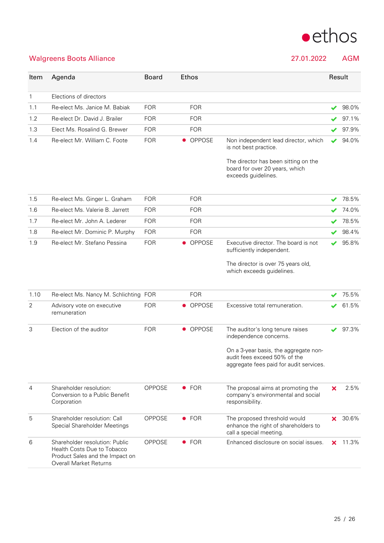

### Walgreens Boots Alliance 27.01.2022 AGM

| Item           | Agenda                                                                                                                            | <b>Board</b> |           | Ethos         |                                                                                                                  | Result               |       |
|----------------|-----------------------------------------------------------------------------------------------------------------------------------|--------------|-----------|---------------|------------------------------------------------------------------------------------------------------------------|----------------------|-------|
| $\mathbf{1}$   | Elections of directors                                                                                                            |              |           |               |                                                                                                                  |                      |       |
| 1.1            | Re-elect Ms. Janice M. Babiak                                                                                                     | <b>FOR</b>   |           | <b>FOR</b>    |                                                                                                                  | ✔                    | 98.0% |
| 1.2            | Re-elect Dr. David J. Brailer                                                                                                     | <b>FOR</b>   |           | <b>FOR</b>    |                                                                                                                  |                      | 97.1% |
| 1.3            | Elect Ms. Rosalind G. Brewer                                                                                                      | <b>FOR</b>   |           | <b>FOR</b>    |                                                                                                                  | ✔                    | 97.9% |
| 1.4            | Re-elect Mr. William C. Foote                                                                                                     | <b>FOR</b>   |           | • OPPOSE      | Non independent lead director, which<br>is not best practice.                                                    | ✔                    | 94.0% |
|                |                                                                                                                                   |              |           |               | The director has been sitting on the<br>board for over 20 years, which<br>exceeds guidelines.                    |                      |       |
| 1.5            | Re-elect Ms. Ginger L. Graham                                                                                                     | <b>FOR</b>   |           | <b>FOR</b>    |                                                                                                                  | $\blacktriangledown$ | 78.5% |
| 1.6            | Re-elect Ms. Valerie B. Jarrett                                                                                                   | <b>FOR</b>   |           | <b>FOR</b>    |                                                                                                                  |                      | 74.0% |
| 1.7            | Re-elect Mr. John A. Lederer                                                                                                      | <b>FOR</b>   |           | <b>FOR</b>    |                                                                                                                  |                      | 78.5% |
| 1.8            | Re-elect Mr. Dominic P. Murphy                                                                                                    | <b>FOR</b>   |           | <b>FOR</b>    |                                                                                                                  |                      | 98.4% |
| 1.9            | Re-elect Mr. Stefano Pessina                                                                                                      | <b>FOR</b>   | $\bullet$ | <b>OPPOSE</b> | Executive director. The board is not<br>sufficiently independent.                                                | ✔                    | 95.8% |
|                |                                                                                                                                   |              |           |               | The director is over 75 years old,<br>which exceeds guidelines.                                                  |                      |       |
| 1.10           | Re-elect Ms. Nancy M. Schlichting FOR                                                                                             |              |           | <b>FOR</b>    |                                                                                                                  |                      | 75.5% |
| $\overline{2}$ | Advisory vote on executive<br>remuneration                                                                                        | <b>FOR</b>   | $\bullet$ | <b>OPPOSE</b> | Excessive total remuneration.                                                                                    |                      | 61.5% |
| 3              | Election of the auditor                                                                                                           | <b>FOR</b>   | $\bullet$ | OPPOSE        | The auditor's long tenure raises<br>independence concerns.                                                       | ✔                    | 97.3% |
|                |                                                                                                                                   |              |           |               | On a 3-year basis, the aggregate non-<br>audit fees exceed 50% of the<br>aggregate fees paid for audit services. |                      |       |
| $\overline{4}$ | Shareholder resolution:<br>Conversion to a Public Benefit<br>Corporation                                                          | OPPOSE       |           | $\bullet$ FOR | The proposal aims at promoting the<br>company's environmental and social<br>responsibility.                      | ×                    | 2.5%  |
| 5              | Shareholder resolution: Call<br>Special Shareholder Meetings                                                                      | OPPOSE       |           | $\bullet$ FOR | The proposed threshold would<br>enhance the right of shareholders to<br>call a special meeting.                  | ×                    | 30.6% |
| 6              | Shareholder resolution: Public<br>Health Costs Due to Tobacco<br>Product Sales and the Impact on<br><b>Overall Market Returns</b> | OPPOSE       |           | $\bullet$ FOR | Enhanced disclosure on social issues.                                                                            | ×                    | 11.3% |